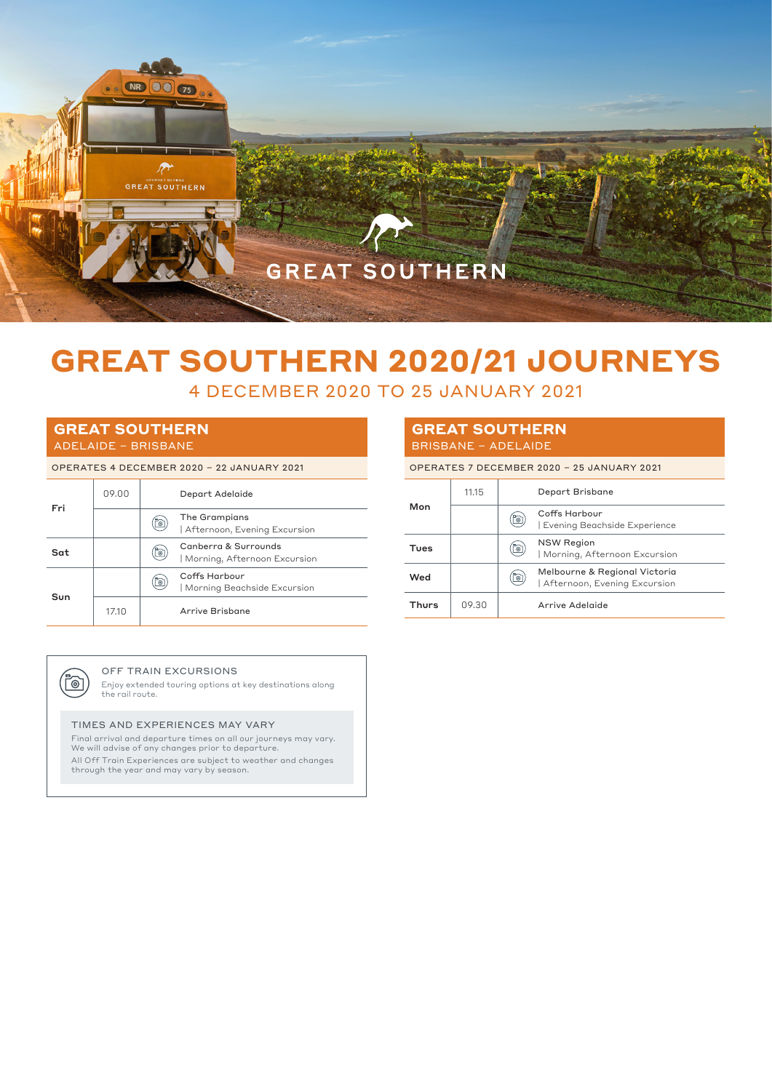

# **GREAT SOUTHERN 2020/21 JOURNEYS**

4 DECEMBER 2020 TO 25 JANUARY 2021

# **GREAT SOUTHERN** ADELAIDE – BRISBANE

#### OPERATES 4 DECEMBER 2020 – 22 JANUARY 2021

| Fri | 09.00 |           | Depart Adelaide                                      |
|-----|-------|-----------|------------------------------------------------------|
|     |       | Õ         | The Grampians<br>Afternoon, Evening Excursion        |
| Sat |       | <u>io</u> | Canberra & Surrounds<br>Morning, Afternoon Excursion |
| Sun |       | <u>్ఠ</u> | Coffs Harbour<br>Morning Beachside Excursion         |
|     | 17.10 |           | Arrive Brisbane                                      |

## **GREAT SOUTHERN** BRISBANE – ADELAIDE

OPERATES 7 DECEMBER 2020 – 25 JANUARY 2021

| Mon          | 11.15 |           | Depart Brisbane                                               |  |
|--------------|-------|-----------|---------------------------------------------------------------|--|
|              |       | <u>fo</u> | Coffs Harbour<br>Evening Beachside Experience                 |  |
| Tues         |       | (b        | <b>NSW Region</b><br>  Morning, Afternoon Excursion           |  |
| Wed          |       | (b        | Melbourne & Regional Victoria<br>Afternoon, Evening Excursion |  |
| <b>Thurs</b> | 09.30 |           | Arrive Adelaide                                               |  |



#### OFF TRAIN EXCURSIONS

Enjoy extended touring options at key destinations along the rail route.

### TIMES AND EXPERIENCES MAY VARY

Final arrival and departure times on all our journeys may vary. We will advise of any changes prior to departure. All Off Train Experiences are subject to weather and changes through the year and may vary by season.